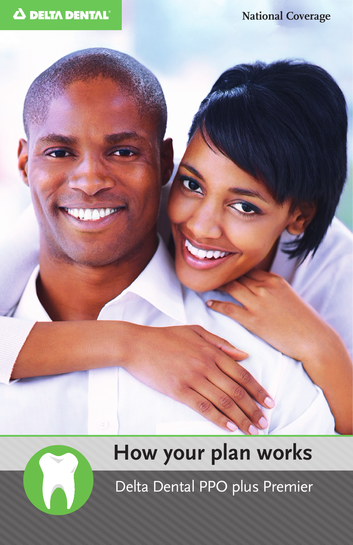

#### **National Coverage**

# **How your plan works**

Delta Dental PPO plus Premier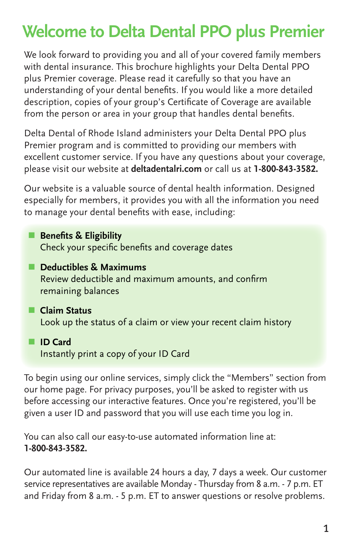## **Welcome to Delta Dental PPO plus Premier**

We look forward to providing you and all of your covered family members with dental insurance. This brochure highlights your Delta Dental PPO plus Premier coverage. Please read it carefully so that you have an understanding of your dental benefits. If you would like a more detailed description, copies of your group's Certificate of Coverage are available from the person or area in your group that handles dental benefits.

Delta Dental of Rhode Island administers your Delta Dental PPO plus Premier program and is committed to providing our members with excellent customer service. If you have any questions about your coverage, please visit our website at **deltadentalri.com** or call us at **1-800-843-3582.**

Our website is a valuable source of dental health information. Designed especially for members, it provides you with all the information you need to manage your dental benefits with ease, including:

- **Benefits & Eligibility** Check your specific benefits and coverage dates
- **n** Deductibles & Maximums Review deductible and maximum amounts, and confirm remaining balances
- **n** Claim Status Look up the status of a claim or view your recent claim history
- **n ID** Card Instantly print a copy of your ID Card

To begin using our online services, simply click the "Members" section from our home page. For privacy purposes, you'll be asked to register with us before accessing our interactive features. Once you're registered, you'll be given a user ID and password that you will use each time you log in.

You can also call our easy-to-use automated information line at: **1-800-843-3582.**

Our automated line is available 24 hours a day, 7 days a week. Our customer service representatives are available Monday - Thursday from 8 a.m. - 7 p.m. ET and Friday from 8 a.m. - 5 p.m. ET to answer questions or resolve problems.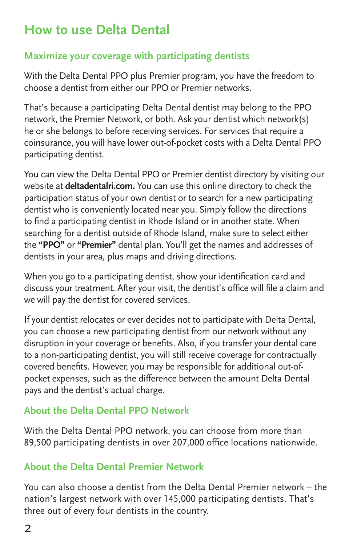## **How to use Delta Dental**

#### **Maximize your coverage with participating dentists**

With the Delta Dental PPO plus Premier program, you have the freedom to choose a dentist from either our PPO or Premier networks.

That's because a participating Delta Dental dentist may belong to the PPO network, the Premier Network, or both. Ask your dentist which network(s) he or she belongs to before receiving services. For services that require a coinsurance, you will have lower out-of-pocket costs with a Delta Dental PPO participating dentist.

You can view the Delta Dental PPO or Premier dentist directory by visiting our website at **deltadentalri.com.** You can use this online directory to check the participation status of your own dentist or to search for a new participating dentist who is conveniently located near you. Simply follow the directions to find a participating dentist in Rhode Island or in another state. When searching for a dentist outside of Rhode Island, make sure to select either the **"PPO"** or **"Premier"** dental plan. You'll get the names and addresses of dentists in your area, plus maps and driving directions.

When you go to a participating dentist, show your identification card and discuss your treatment. After your visit, the dentist's office will file a claim and we will pay the dentist for covered services.

If your dentist relocates or ever decides not to participate with Delta Dental, you can choose a new participating dentist from our network without any disruption in your coverage or benefits. Also, if you transfer your dental care to a non-participating dentist, you will still receive coverage for contractually covered benefits. However, you may be responsible for additional out-ofpocket expenses, such as the difference between the amount Delta Dental pays and the dentist's actual charge.

#### **About the Delta Dental PPO Network**

With the Delta Dental PPO network, you can choose from more than 89,500 participating dentists in over 207,000 office locations nationwide.

#### **About the Delta Dental Premier Network**

You can also choose a dentist from the Delta Dental Premier network – the nation's largest network with over 145,000 participating dentists. That's three out of every four dentists in the country.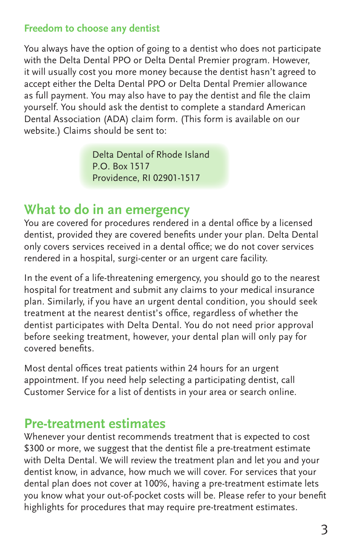#### **Freedom to choose any dentist**

You always have the option of going to a dentist who does not participate with the Delta Dental PPO or Delta Dental Premier program. However, it will usually cost you more money because the dentist hasn't agreed to accept either the Delta Dental PPO or Delta Dental Premier allowance as full payment. You may also have to pay the dentist and file the claim yourself. You should ask the dentist to complete a standard American Dental Association (ADA) claim form. (This form is available on our website.) Claims should be sent to:

> Delta Dental of Rhode Island P.O. Box 1517 Providence, RI 02901-1517

#### **What to do in an emergency**

You are covered for procedures rendered in a dental office by a licensed dentist, provided they are covered benefits under your plan. Delta Dental only covers services received in a dental office; we do not cover services rendered in a hospital, surgi-center or an urgent care facility.

In the event of a life-threatening emergency, you should go to the nearest hospital for treatment and submit any claims to your medical insurance plan. Similarly, if you have an urgent dental condition, you should seek treatment at the nearest dentist's office, regardless of whether the dentist participates with Delta Dental. You do not need prior approval before seeking treatment, however, your dental plan will only pay for covered benefits.

Most dental offices treat patients within 24 hours for an urgent appointment. If you need help selecting a participating dentist, call Customer Service for a list of dentists in your area or search online.

#### **Pre-treatment estimates**

Whenever your dentist recommends treatment that is expected to cost \$300 or more, we suggest that the dentist file a pre-treatment estimate with Delta Dental. We will review the treatment plan and let you and your dentist know, in advance, how much we will cover. For services that your dental plan does not cover at 100%, having a pre-treatment estimate lets you know what your out-of-pocket costs will be. Please refer to your benefit highlights for procedures that may require pre-treatment estimates.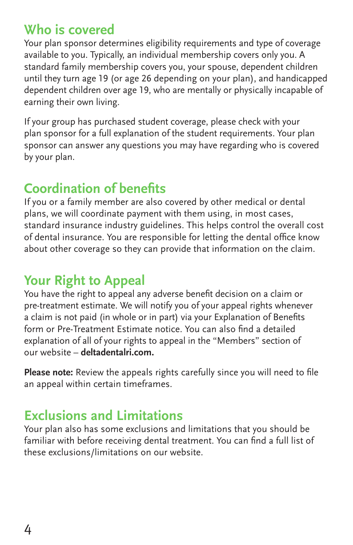#### **Who is covered**

Your plan sponsor determines eligibility requirements and type of coverage available to you. Typically, an individual membership covers only you. A standard family membership covers you, your spouse, dependent children until they turn age 19 (or age 26 depending on your plan), and handicapped dependent children over age 19, who are mentally or physically incapable of earning their own living.

If your group has purchased student coverage, please check with your plan sponsor for a full explanation of the student requirements. Your plan sponsor can answer any questions you may have regarding who is covered by your plan.

## **Coordination of benefits**

If you or a family member are also covered by other medical or dental plans, we will coordinate payment with them using, in most cases, standard insurance industry guidelines. This helps control the overall cost of dental insurance. You are responsible for letting the dental office know about other coverage so they can provide that information on the claim.

### **Your Right to Appeal**

You have the right to appeal any adverse benefit decision on a claim or pre-treatment estimate. We will notify you of your appeal rights whenever a claim is not paid (in whole or in part) via your Explanation of Benefits form or Pre-Treatment Estimate notice. You can also find a detailed explanation of all of your rights to appeal in the "Members" section of our website – **deltadentalri.com.**

**Please note:** Review the appeals rights carefully since you will need to file an appeal within certain timeframes.

## **Exclusions and Limitations**

Your plan also has some exclusions and limitations that you should be familiar with before receiving dental treatment. You can find a full list of these exclusions/limitations on our website.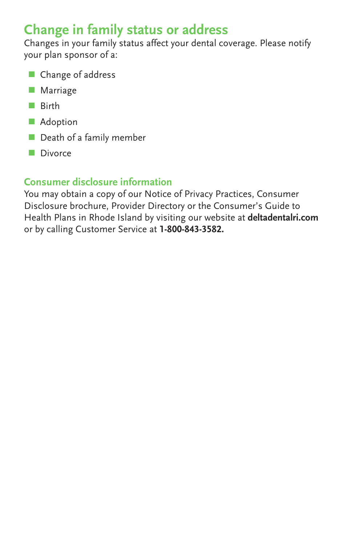## **Change in family status or address**

Changes in your family status affect your dental coverage. Please notify your plan sponsor of a:

- **n** Change of address
- **Narriage**
- **n** Birth
- **N** Adoption
- $\blacksquare$  Death of a family member
- Divorce

#### **Consumer disclosure information**

You may obtain a copy of our Notice of Privacy Practices, Consumer Disclosure brochure, Provider Directory or the Consumer's Guide to Health Plans in Rhode Island by visiting our website at **deltadentalri.com** or by calling Customer Service at **1-800-843-3582.**